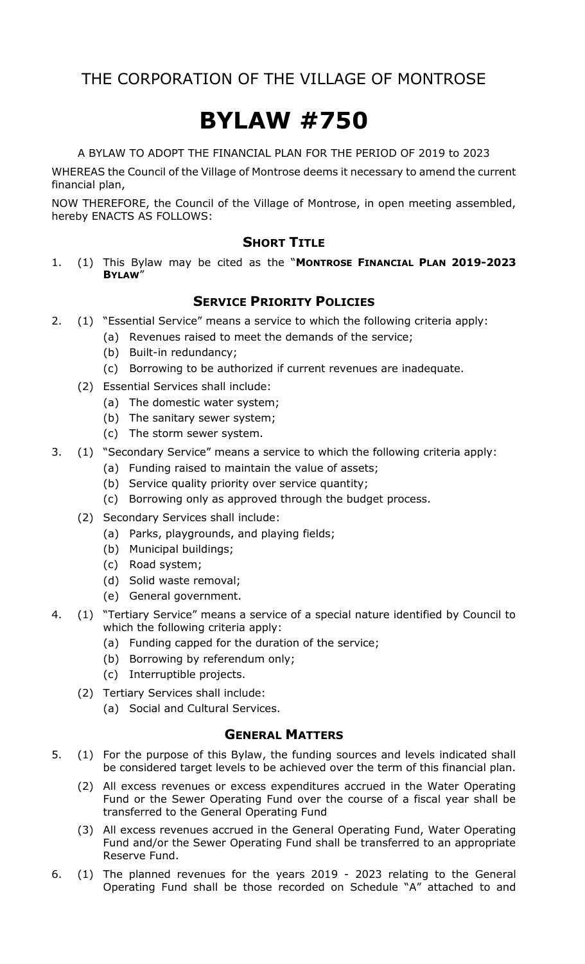# **BYLAW #750**

A BYLAW TO ADOPT THE FINANCIAL PLAN FOR THE PERIOD OF 2019 to 2023

WHEREAS the Council of the Village of Montrose deems it necessary to amend the current financial plan,

NOW THEREFORE, the Council of the Village of Montrose, in open meeting assembled, hereby ENACTS AS FOLLOWS:

# **SHORT TITLE**

1. (1) This Bylaw may be cited as the "**MONTROSE FINANCIAL PLAN 2019-2023 BYLAW**"

# **SERVICE PRIORITY POLICIES**

- 2. (1) "Essential Service" means a service to which the following criteria apply:
	- (a) Revenues raised to meet the demands of the service;
	- (b) Built-in redundancy;
	- (c) Borrowing to be authorized if current revenues are inadequate.
	- (2) Essential Services shall include:
		- (a) The domestic water system;
		- (b) The sanitary sewer system;
		- (c) The storm sewer system.
- 3. (1) "Secondary Service" means a service to which the following criteria apply:
	- (a) Funding raised to maintain the value of assets;
	- (b) Service quality priority over service quantity;
	- (c) Borrowing only as approved through the budget process.
	- (2) Secondary Services shall include:
		- (a) Parks, playgrounds, and playing fields;
		- (b) Municipal buildings;
		- (c) Road system;
		- (d) Solid waste removal;
		- (e) General government.
- 4. (1) "Tertiary Service" means a service of a special nature identified by Council to which the following criteria apply:
	- (a) Funding capped for the duration of the service;
	- (b) Borrowing by referendum only;
	- (c) Interruptible projects.
	- (2) Tertiary Services shall include:
		- (a) Social and Cultural Services.

## **GENERAL MATTERS**

- 5. (1) For the purpose of this Bylaw, the funding sources and levels indicated shall be considered target levels to be achieved over the term of this financial plan.
	- (2) All excess revenues or excess expenditures accrued in the Water Operating Fund or the Sewer Operating Fund over the course of a fiscal year shall be transferred to the General Operating Fund
	- (3) All excess revenues accrued in the General Operating Fund, Water Operating Fund and/or the Sewer Operating Fund shall be transferred to an appropriate Reserve Fund.
- 6. (1) The planned revenues for the years 2019 2023 relating to the General Operating Fund shall be those recorded on Schedule "A" attached to and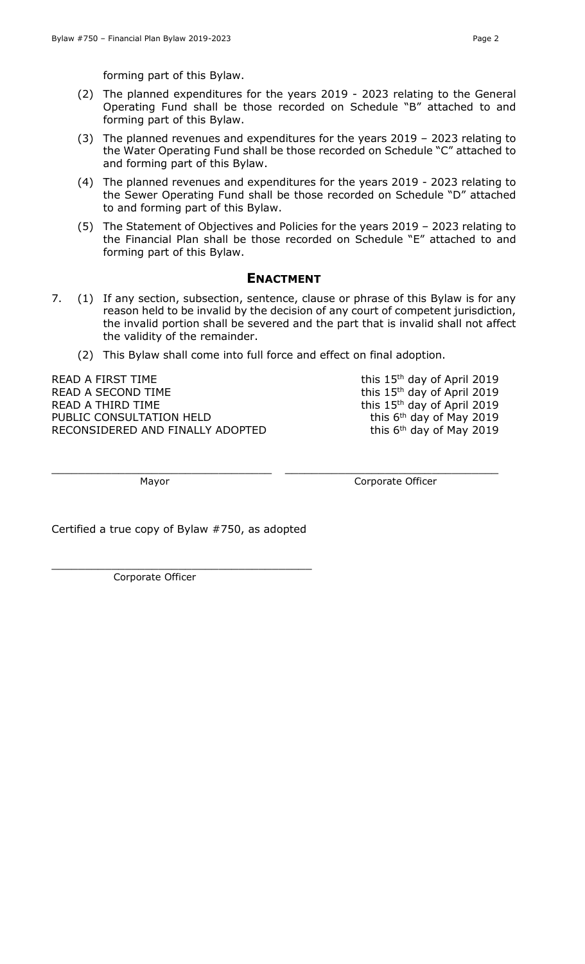forming part of this Bylaw.

- (2) The planned expenditures for the years 2019 2023 relating to the General Operating Fund shall be those recorded on Schedule "B" attached to and forming part of this Bylaw.
- (3) The planned revenues and expenditures for the years 2019 2023 relating to the Water Operating Fund shall be those recorded on Schedule "C" attached to and forming part of this Bylaw.
- (4) The planned revenues and expenditures for the years 2019 2023 relating to the Sewer Operating Fund shall be those recorded on Schedule "D" attached to and forming part of this Bylaw.
- (5) The Statement of Objectives and Policies for the years 2019 2023 relating to the Financial Plan shall be those recorded on Schedule "E" attached to and forming part of this Bylaw.

### **ENACTMENT**

- 7. (1) If any section, subsection, sentence, clause or phrase of this Bylaw is for any reason held to be invalid by the decision of any court of competent jurisdiction, the invalid portion shall be severed and the part that is invalid shall not affect the validity of the remainder.
	- (2) This Bylaw shall come into full force and effect on final adoption.

 $\_$  ,  $\_$  ,  $\_$  ,  $\_$  ,  $\_$  ,  $\_$  ,  $\_$  ,  $\_$  ,  $\_$  ,  $\_$  ,  $\_$  ,  $\_$  ,  $\_$  ,  $\_$  ,  $\_$  ,  $\_$  ,  $\_$  ,  $\_$  ,  $\_$  ,  $\_$  ,  $\_$  ,  $\_$  ,  $\_$  ,  $\_$  ,  $\_$  ,  $\_$  ,  $\_$  ,  $\_$  ,  $\_$  ,  $\_$  ,  $\_$  ,  $\_$  ,  $\_$  ,  $\_$  ,  $\_$  ,  $\_$  ,  $\_$  ,

READ A FIRST TIME READ A SECOND TIME READ A THIRD TIME PUBLIC CONSULTATION HELD RECONSIDERED AND FINALLY ADOPTED this 15<sup>th</sup> day of April 2019 this 15<sup>th</sup> day of April 2019 this 15<sup>th</sup> day of April 2019 this 6<sup>th</sup> day of May 2019 this 6<sup>th</sup> day of May 2019

Mayor **Mayor** Corporate Officer

Certified a true copy of Bylaw #750, as adopted

\_\_\_\_\_\_\_\_\_\_\_\_\_\_\_\_\_\_\_\_\_\_\_\_\_\_\_\_\_\_\_\_\_\_\_\_\_\_\_

Corporate Officer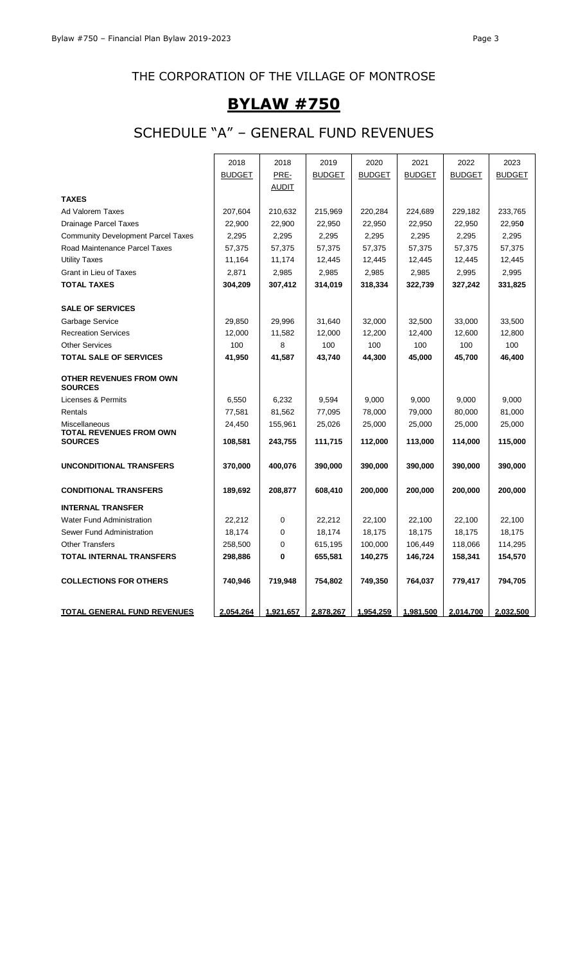# **BYLAW #750**

# SCHEDULE "A" – GENERAL FUND REVENUES

|                                                  | 2018          | 2018         | 2019          | 2020          | 2021          | 2022          | 2023          |
|--------------------------------------------------|---------------|--------------|---------------|---------------|---------------|---------------|---------------|
|                                                  | <b>BUDGET</b> | PRE-         | <b>BUDGET</b> | <b>BUDGET</b> | <b>BUDGET</b> | <b>BUDGET</b> | <b>BUDGET</b> |
|                                                  |               | <u>AUDIT</u> |               |               |               |               |               |
| <b>TAXES</b>                                     |               |              |               |               |               |               |               |
| <b>Ad Valorem Taxes</b>                          | 207,604       | 210,632      | 215,969       | 220,284       | 224,689       | 229,182       | 233,765       |
| <b>Drainage Parcel Taxes</b>                     | 22,900        | 22,900       | 22,950        | 22,950        | 22,950        | 22,950        | 22,950        |
| <b>Community Development Parcel Taxes</b>        | 2,295         | 2,295        | 2,295         | 2,295         | 2,295         | 2,295         | 2,295         |
| Road Maintenance Parcel Taxes                    | 57,375        | 57,375       | 57,375        | 57,375        | 57,375        | 57,375        | 57,375        |
| <b>Utility Taxes</b>                             | 11,164        | 11,174       | 12,445        | 12,445        | 12,445        | 12,445        | 12,445        |
| Grant in Lieu of Taxes                           | 2,871         | 2,985        | 2,985         | 2,985         | 2,985         | 2,995         | 2,995         |
| <b>TOTAL TAXES</b>                               | 304,209       | 307,412      | 314,019       | 318,334       | 322,739       | 327,242       | 331,825       |
| <b>SALE OF SERVICES</b>                          |               |              |               |               |               |               |               |
| Garbage Service                                  | 29,850        | 29,996       | 31,640        | 32,000        | 32,500        | 33,000        | 33,500        |
| <b>Recreation Services</b>                       | 12,000        | 11,582       | 12,000        | 12,200        | 12,400        | 12,600        | 12,800        |
| <b>Other Services</b>                            | 100           | 8            | 100           | 100           | 100           | 100           | 100           |
| <b>TOTAL SALE OF SERVICES</b>                    | 41,950        | 41,587       | 43,740        | 44,300        | 45,000        | 45,700        | 46,400        |
| <b>OTHER REVENUES FROM OWN</b><br><b>SOURCES</b> |               |              |               |               |               |               |               |
| Licenses & Permits                               | 6,550         | 6,232        | 9,594         | 9,000         | 9,000         | 9,000         | 9,000         |
| Rentals                                          | 77,581        | 81,562       | 77,095        | 78,000        | 79,000        | 80,000        | 81,000        |
| Miscellaneous                                    | 24,450        | 155,961      | 25,026        | 25,000        | 25,000        | 25,000        | 25,000        |
| <b>TOTAL REVENUES FROM OWN</b><br><b>SOURCES</b> | 108,581       | 243,755      | 111,715       | 112,000       | 113,000       | 114,000       | 115,000       |
| <b>UNCONDITIONAL TRANSFERS</b>                   | 370,000       | 400,076      | 390,000       | 390,000       | 390,000       | 390,000       | 390,000       |
|                                                  |               |              |               |               |               |               |               |
| <b>CONDITIONAL TRANSFERS</b>                     | 189,692       | 208,877      | 608,410       | 200,000       | 200,000       | 200,000       | 200,000       |
| <b>INTERNAL TRANSFER</b>                         |               |              |               |               |               |               |               |
| <b>Water Fund Administration</b>                 | 22,212        | 0            | 22,212        | 22,100        | 22.100        | 22.100        | 22.100        |
| Sewer Fund Administration                        | 18,174        | 0            | 18,174        | 18,175        | 18,175        | 18,175        | 18,175        |
| <b>Other Transfers</b>                           | 258,500       | 0            | 615,195       | 100,000       | 106,449       | 118,066       | 114,295       |
| <b>TOTAL INTERNAL TRANSFERS</b>                  | 298,886       | 0            | 655,581       | 140,275       | 146,724       | 158,341       | 154,570       |
| <b>COLLECTIONS FOR OTHERS</b>                    | 740,946       | 719,948      | 754,802       | 749,350       | 764,037       | 779,417       | 794,705       |
| <b>TOTAL GENERAL FUND REVENUES</b>               | 2,054,264     | 1,921,657    | 2,878,267     | 1,954,259     | 1,981,500     | 2,014,700     | 2,032,500     |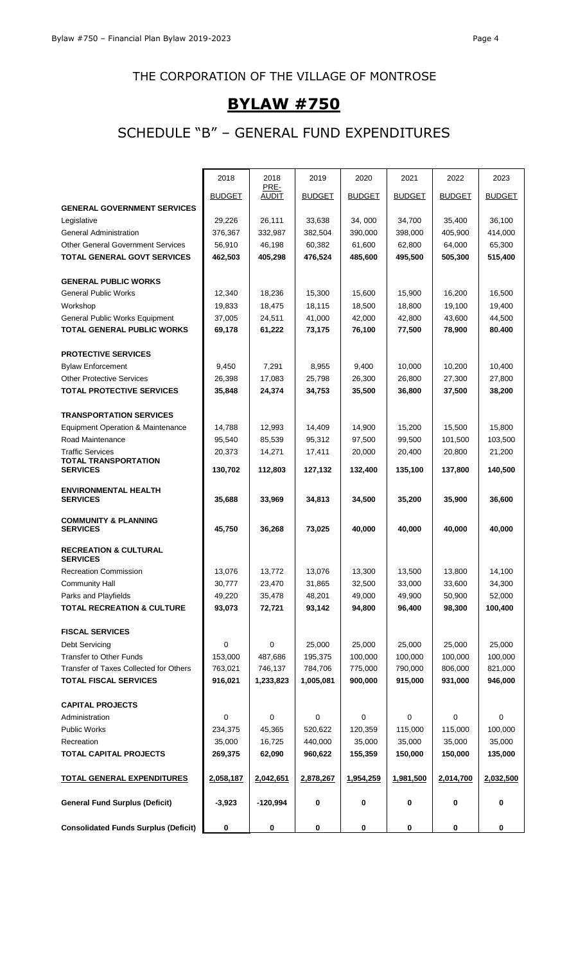# **BYLAW #750**

# SCHEDULE "B" – GENERAL FUND EXPENDITURES

|                                                     | 2018          | 2018                 | 2019          | 2020          | 2021          | 2022          | 2023          |
|-----------------------------------------------------|---------------|----------------------|---------------|---------------|---------------|---------------|---------------|
|                                                     | <b>BUDGET</b> | PRE-<br><b>AUDIT</b> | <b>BUDGET</b> | <b>BUDGET</b> | <b>BUDGET</b> | <b>BUDGET</b> | <b>BUDGET</b> |
| <b>GENERAL GOVERNMENT SERVICES</b>                  |               |                      |               |               |               |               |               |
| Legislative                                         | 29,226        | 26,111               | 33,638        | 34.000        | 34,700        | 35,400        | 36,100        |
| <b>General Administration</b>                       | 376,367       | 332,987              | 382,504       | 390,000       | 398,000       | 405,900       | 414,000       |
| <b>Other General Government Services</b>            | 56,910        | 46,198               | 60,382        | 61,600        | 62,800        | 64,000        | 65,300        |
| <b>TOTAL GENERAL GOVT SERVICES</b>                  | 462,503       | 405,298              | 476,524       | 485,600       | 495,500       | 505,300       | 515,400       |
|                                                     |               |                      |               |               |               |               |               |
| <b>GENERAL PUBLIC WORKS</b>                         |               |                      |               |               |               |               |               |
| <b>General Public Works</b>                         | 12,340        | 18,236               | 15,300        | 15,600        | 15,900        | 16,200        | 16.500        |
| Workshop                                            | 19,833        | 18,475               | 18,115        | 18,500        | 18,800        | 19,100        | 19,400        |
| General Public Works Equipment                      | 37,005        | 24,511               | 41,000        | 42,000        | 42,800        | 43,600        | 44,500        |
| <b>TOTAL GENERAL PUBLIC WORKS</b>                   | 69,178        | 61,222               | 73,175        | 76,100        | 77,500        | 78,900        | 80.400        |
|                                                     |               |                      |               |               |               |               |               |
| <b>PROTECTIVE SERVICES</b>                          |               |                      |               |               |               |               |               |
| <b>Bylaw Enforcement</b>                            | 9,450         | 7,291                | 8,955         | 9,400         | 10,000        | 10,200        | 10,400        |
| <b>Other Protective Services</b>                    | 26,398        | 17,083               | 25,798        | 26,300        | 26,800        | 27,300        | 27,800        |
| <b>TOTAL PROTECTIVE SERVICES</b>                    | 35,848        | 24,374               | 34,753        | 35,500        | 36,800        | 37,500        | 38,200        |
| <b>TRANSPORTATION SERVICES</b>                      |               |                      |               |               |               |               |               |
| Equipment Operation & Maintenance                   | 14,788        | 12,993               | 14,409        | 14,900        | 15,200        | 15,500        | 15,800        |
| Road Maintenance                                    | 95,540        | 85,539               | 95,312        | 97,500        | 99,500        | 101,500       | 103,500       |
| <b>Traffic Services</b>                             | 20,373        | 14,271               | 17,411        | 20,000        | 20,400        | 20,800        | 21,200        |
| TOTAL TRANSPORTATION                                |               |                      |               |               |               |               |               |
| <b>SERVICES</b>                                     | 130,702       | 112,803              | 127,132       | 132,400       | 135,100       | 137,800       | 140,500       |
| <b>ENVIRONMENTAL HEALTH</b>                         |               |                      |               |               |               |               |               |
| <b>SERVICES</b>                                     | 35,688        | 33,969               | 34,813        | 34,500        | 35,200        | 35,900        | 36,600        |
| <b>COMMUNITY &amp; PLANNING</b>                     |               |                      |               |               |               |               |               |
| <b>SERVICES</b>                                     | 45,750        | 36,268               | 73,025        | 40,000        | 40,000        | 40,000        | 40,000        |
|                                                     |               |                      |               |               |               |               |               |
| <b>RECREATION &amp; CULTURAL</b><br><b>SERVICES</b> |               |                      |               |               |               |               |               |
| <b>Recreation Commission</b>                        | 13,076        | 13,772               | 13,076        | 13,300        | 13,500        | 13,800        | 14,100        |
| <b>Community Hall</b>                               | 30,777        | 23,470               | 31,865        | 32,500        | 33,000        | 33,600        | 34,300        |
| Parks and Playfields                                | 49,220        | 35,478               | 48,201        | 49,000        | 49,900        | 50,900        | 52,000        |
| <b>TOTAL RECREATION &amp; CULTURE</b>               | 93,073        | 72,721               | 93,142        | 94,800        | 96,400        | 98,300        | 100,400       |
|                                                     |               |                      |               |               |               |               |               |
| <b>FISCAL SERVICES</b>                              |               |                      |               |               |               |               |               |
| Debt Servicing                                      | 0             | 0                    | 25,000        | 25,000        | 25,000        | 25,000        | 25,000        |
| <b>Transfer to Other Funds</b>                      | 153,000       | 487,686              | 195,375       | 100,000       | 100,000       | 100,000       | 100,000       |
| Transfer of Taxes Collected for Others              | 763,021       | 746,137              | 784,706       | 775,000       | 790,000       | 806,000       | 821,000       |
| <b>TOTAL FISCAL SERVICES</b>                        | 916,021       | 1,233,823            | 1,005,081     | 900,000       | 915,000       | 931,000       | 946,000       |
|                                                     |               |                      |               |               |               |               |               |
| <b>CAPITAL PROJECTS</b>                             |               |                      |               |               |               |               |               |
| Administration                                      | 0             | 0                    | 0             | 0             | 0             | 0             | 0             |
| <b>Public Works</b>                                 | 234,375       | 45,365               | 520,622       | 120,359       | 115,000       | 115,000       | 100,000       |
| Recreation                                          | 35,000        | 16,725               | 440,000       | 35,000        | 35,000        | 35,000        | 35,000        |
| <b>TOTAL CAPITAL PROJECTS</b>                       | 269,375       | 62,090               | 960,622       | 155,359       | 150,000       | 150,000       | 135,000       |
| <b>TOTAL GENERAL EXPENDITURES</b>                   | 2,058,187     | 2,042,651            | 2,878,267     | 1,954,259     | 1,981,500     | 2,014,700     | 2,032,500     |
|                                                     |               |                      |               |               |               |               |               |
| <b>General Fund Surplus (Deficit)</b>               | $-3,923$      | $-120,994$           | 0             | 0             | 0             | 0             | 0             |
|                                                     |               |                      |               |               |               |               |               |
| <b>Consolidated Funds Surplus (Deficit)</b>         | 0             | 0                    | 0             | 0             | 0             | 0             | 0             |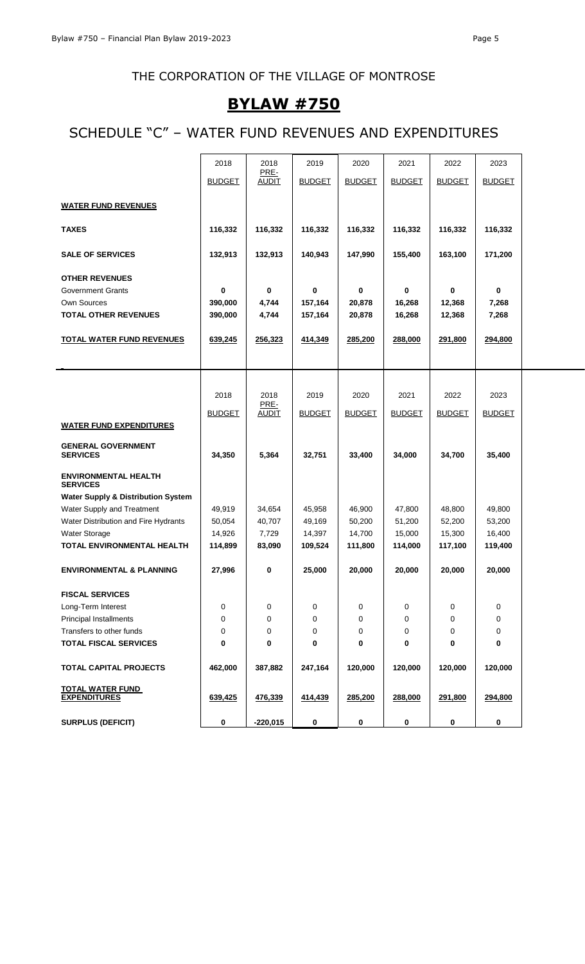# **BYLAW #750**

# SCHEDULE "C" – WATER FUND REVENUES AND EXPENDITURES

|                                                | 2018          | 2018                 | 2019          | 2020          | 2021          | 2022          | 2023          |  |
|------------------------------------------------|---------------|----------------------|---------------|---------------|---------------|---------------|---------------|--|
|                                                | <b>BUDGET</b> | PRE-<br><b>AUDIT</b> | <b>BUDGET</b> | <b>BUDGET</b> | <b>BUDGET</b> | <b>BUDGET</b> | <b>BUDGET</b> |  |
|                                                |               |                      |               |               |               |               |               |  |
| <b>WATER FUND REVENUES</b>                     |               |                      |               |               |               |               |               |  |
|                                                |               |                      |               |               |               |               |               |  |
| <b>TAXES</b>                                   | 116,332       | 116,332              | 116,332       | 116,332       | 116,332       | 116,332       | 116,332       |  |
| <b>SALE OF SERVICES</b>                        | 132,913       | 132,913              | 140,943       | 147,990       | 155,400       | 163,100       | 171,200       |  |
|                                                |               |                      |               |               |               |               |               |  |
| <b>OTHER REVENUES</b>                          |               |                      |               |               |               |               |               |  |
| <b>Government Grants</b>                       | $\bf{0}$      | 0                    | $\bf{0}$      | 0             | 0             | 0             | 0             |  |
| Own Sources                                    | 390,000       | 4,744                | 157,164       | 20,878        | 16,268        | 12,368        | 7,268         |  |
| <b>TOTAL OTHER REVENUES</b>                    | 390,000       | 4,744                | 157,164       | 20,878        | 16,268        | 12,368        | 7,268         |  |
|                                                |               |                      |               |               |               |               |               |  |
| <b>TOTAL WATER FUND REVENUES</b>               | 639,245       | 256,323              | 414,349       | 285,200       | 288,000       | 291,800       | 294,800       |  |
|                                                |               |                      |               |               |               |               |               |  |
|                                                |               |                      |               |               |               |               |               |  |
|                                                |               |                      |               |               |               |               |               |  |
|                                                | 2018          | 2018<br>PRE-         | 2019          | 2020          | 2021          | 2022          | 2023          |  |
|                                                | <b>BUDGET</b> | <b>AUDIT</b>         | <b>BUDGET</b> | <b>BUDGET</b> | <b>BUDGET</b> | <b>BUDGET</b> | <b>BUDGET</b> |  |
| <b>WATER FUND EXPENDITURES</b>                 |               |                      |               |               |               |               |               |  |
|                                                |               |                      |               |               |               |               |               |  |
| <b>GENERAL GOVERNMENT</b><br><b>SERVICES</b>   | 34,350        | 5,364                | 32,751        | 33,400        | 34,000        | 34,700        | 35,400        |  |
|                                                |               |                      |               |               |               |               |               |  |
| <b>ENVIRONMENTAL HEALTH</b><br><b>SERVICES</b> |               |                      |               |               |               |               |               |  |
| <b>Water Supply &amp; Distribution System</b>  |               |                      |               |               |               |               |               |  |
| Water Supply and Treatment                     | 49,919        | 34,654               | 45,958        | 46,900        | 47,800        | 48,800        | 49,800        |  |
| Water Distribution and Fire Hydrants           | 50,054        | 40,707               | 49,169        | 50,200        | 51,200        | 52,200        | 53,200        |  |
| <b>Water Storage</b>                           | 14,926        | 7,729                | 14,397        | 14,700        | 15,000        | 15,300        | 16,400        |  |
| TOTAL ENVIRONMENTAL HEALTH                     | 114,899       | 83,090               | 109,524       | 111,800       | 114,000       | 117,100       | 119,400       |  |
|                                                |               |                      |               |               |               |               |               |  |
| <b>ENVIRONMENTAL &amp; PLANNING</b>            | 27,996        | 0                    | 25,000        | 20,000        | 20,000        | 20,000        | 20,000        |  |
| <b>FISCAL SERVICES</b>                         |               |                      |               |               |               |               |               |  |
| Long-Term Interest                             | 0             | 0                    | $\mathbf 0$   | 0             | 0             | 0             | 0             |  |
| Principal Installments                         | 0             | 0                    | 0             | 0             | 0             | 0             | 0             |  |
| Transfers to other funds                       | $\mathbf 0$   | 0                    | 0             | 0             | 0             | 0             | 0             |  |
| <b>TOTAL FISCAL SERVICES</b>                   | 0             | 0                    | 0             | 0             | 0             | 0             | 0             |  |
|                                                |               |                      |               |               |               |               |               |  |
| TOTAL CAPITAL PROJECTS                         | 462,000       | 387,882              | 247,164       | 120,000       | 120,000       | 120,000       | 120,000       |  |
|                                                |               |                      |               |               |               |               |               |  |
| <b>TOTAL WATER FUND</b><br><b>EXPENDITURES</b> | 639,425       | 476,339              | 414,439       | 285,200       | 288,000       | 291,800       | 294,800       |  |
|                                                |               |                      |               |               |               |               |               |  |
| <b>SURPLUS (DEFICIT)</b>                       | 0             | $-220,015$           | $\bf{0}$      | 0             | 0             | 0             | 0             |  |
|                                                |               |                      |               |               |               |               |               |  |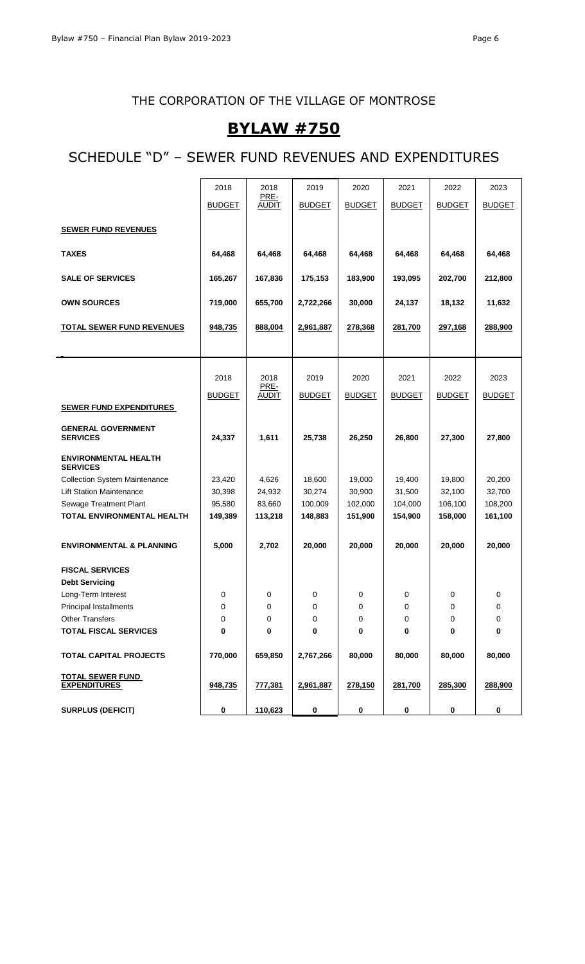# **BYLAW #750**

# SCHEDULE "D" – SEWER FUND REVENUES AND EXPENDITURES

|                                                | 2018          | 2018                 | 2019          | 2020          | 2021          | 2022          | 2023          |
|------------------------------------------------|---------------|----------------------|---------------|---------------|---------------|---------------|---------------|
|                                                | <b>BUDGET</b> | PRE-<br><b>AUDIT</b> | <b>BUDGET</b> | <b>BUDGET</b> | <b>BUDGET</b> | <b>BUDGET</b> | <b>BUDGET</b> |
|                                                |               |                      |               |               |               |               |               |
| <b>SEWER FUND REVENUES</b>                     |               |                      |               |               |               |               |               |
| <b>TAXES</b>                                   | 64,468        | 64,468               | 64,468        | 64,468        | 64,468        | 64,468        | 64,468        |
| <b>SALE OF SERVICES</b>                        | 165,267       | 167,836              | 175,153       | 183,900       | 193,095       | 202,700       | 212,800       |
| <b>OWN SOURCES</b>                             | 719,000       | 655,700              | 2,722,266     | 30,000        | 24,137        | 18,132        | 11,632        |
| <b>TOTAL SEWER FUND REVENUES</b>               | 948,735       | 888,004              | 2,961,887     | 278,368       | 281,700       | 297,168       | 288,900       |
|                                                |               |                      |               |               |               |               |               |
|                                                |               |                      |               |               |               |               |               |
|                                                | 2018          | 2018<br>PRE-         | 2019          | 2020          | 2021          | 2022          | 2023          |
|                                                | <b>BUDGET</b> | <b>AUDIT</b>         | <b>BUDGET</b> | <b>BUDGET</b> | <b>BUDGET</b> | <b>BUDGET</b> | <b>BUDGET</b> |
| <b>SEWER FUND EXPENDITURES</b>                 |               |                      |               |               |               |               |               |
| <b>GENERAL GOVERNMENT</b><br><b>SERVICES</b>   | 24,337        | 1,611                | 25,738        | 26,250        | 26,800        | 27,300        | 27,800        |
| <b>ENVIRONMENTAL HEALTH</b><br><b>SERVICES</b> |               |                      |               |               |               |               |               |
| <b>Collection System Maintenance</b>           | 23,420        | 4,626                | 18,600        | 19,000        | 19,400        | 19,800        | 20,200        |
| <b>Lift Station Maintenance</b>                | 30,398        | 24,932               | 30,274        | 30,900        | 31,500        | 32,100        | 32,700        |
| Sewage Treatment Plant                         | 95,580        | 83,660               | 100,009       | 102,000       | 104,000       | 106,100       | 108,200       |
| TOTAL ENVIRONMENTAL HEALTH                     | 149,389       | 113,218              | 148,883       | 151,900       | 154,900       | 158,000       | 161,100       |
| <b>ENVIRONMENTAL &amp; PLANNING</b>            | 5,000         | 2,702                | 20,000        | 20,000        | 20,000        | 20,000        | 20,000        |
| <b>FISCAL SERVICES</b>                         |               |                      |               |               |               |               |               |
| <b>Debt Servicing</b>                          |               |                      |               |               |               |               |               |
| Long-Term Interest                             | 0             | 0                    | 0             | 0             | 0             | 0             | 0             |
| Principal Installments                         | 0             | $\Omega$             | 0             | 0             | 0             | 0             | 0             |
| <b>Other Transfers</b>                         | 0             | 0                    | 0             | 0             | 0             | 0             | 0             |
| <b>TOTAL FISCAL SERVICES</b>                   | 0             | 0                    | 0             | 0             | 0             | 0             | 0             |
| <b>TOTAL CAPITAL PROJECTS</b>                  | 770,000       | 659,850              | 2,767,266     | 80,000        | 80,000        | 80,000        | 80,000        |
| <b>TOTAL SEWER FUND</b><br><b>EXPENDITURES</b> | 948,735       | 777,381              | 2,961,887     | 278,150       | 281,700       | 285,300       | 288,900       |
| <b>SURPLUS (DEFICIT)</b>                       | 0             | 110,623              | $\pmb{0}$     | 0             | 0             | 0             | 0             |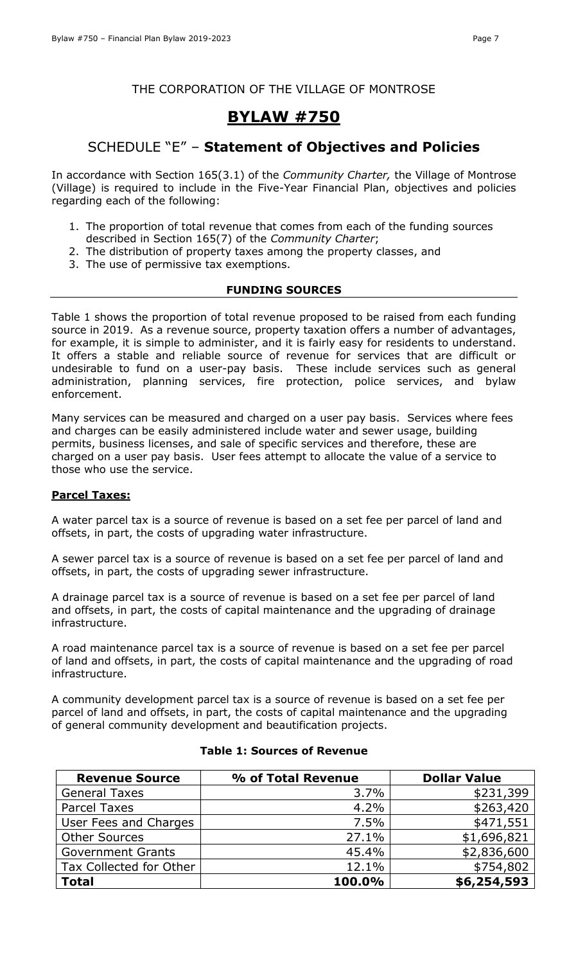# **BYLAW #750**

# SCHEDULE "E" – **Statement of Objectives and Policies**

In accordance with Section 165(3.1) of the *Community Charter,* the Village of Montrose (Village) is required to include in the Five-Year Financial Plan, objectives and policies regarding each of the following:

- 1. The proportion of total revenue that comes from each of the funding sources described in Section 165(7) of the *Community Charter*;
- 2. The distribution of property taxes among the property classes, and
- 3. The use of permissive tax exemptions.

### **FUNDING SOURCES**

Table 1 shows the proportion of total revenue proposed to be raised from each funding source in 2019. As a revenue source, property taxation offers a number of advantages, for example, it is simple to administer, and it is fairly easy for residents to understand. It offers a stable and reliable source of revenue for services that are difficult or undesirable to fund on a user-pay basis. These include services such as general administration, planning services, fire protection, police services, and bylaw enforcement.

Many services can be measured and charged on a user pay basis. Services where fees and charges can be easily administered include water and sewer usage, building permits, business licenses, and sale of specific services and therefore, these are charged on a user pay basis. User fees attempt to allocate the value of a service to those who use the service.

### **Parcel Taxes:**

A water parcel tax is a source of revenue is based on a set fee per parcel of land and offsets, in part, the costs of upgrading water infrastructure.

A sewer parcel tax is a source of revenue is based on a set fee per parcel of land and offsets, in part, the costs of upgrading sewer infrastructure.

A drainage parcel tax is a source of revenue is based on a set fee per parcel of land and offsets, in part, the costs of capital maintenance and the upgrading of drainage infrastructure.

A road maintenance parcel tax is a source of revenue is based on a set fee per parcel of land and offsets, in part, the costs of capital maintenance and the upgrading of road infrastructure.

A community development parcel tax is a source of revenue is based on a set fee per parcel of land and offsets, in part, the costs of capital maintenance and the upgrading of general community development and beautification projects.

| <b>Revenue Source</b>    | % of Total Revenue | <b>Dollar Value</b> |
|--------------------------|--------------------|---------------------|
| <b>General Taxes</b>     | 3.7%               | \$231,399           |
| <b>Parcel Taxes</b>      | 4.2%               | \$263,420           |
| User Fees and Charges    | 7.5%               | \$471,551           |
| <b>Other Sources</b>     | 27.1%              | \$1,696,821         |
| <b>Government Grants</b> | 45.4%              | \$2,836,600         |
| Tax Collected for Other  | 12.1%              | \$754,802           |
| <b>Total</b>             | 100.0%             | \$6,254,593         |

### **Table 1: Sources of Revenue**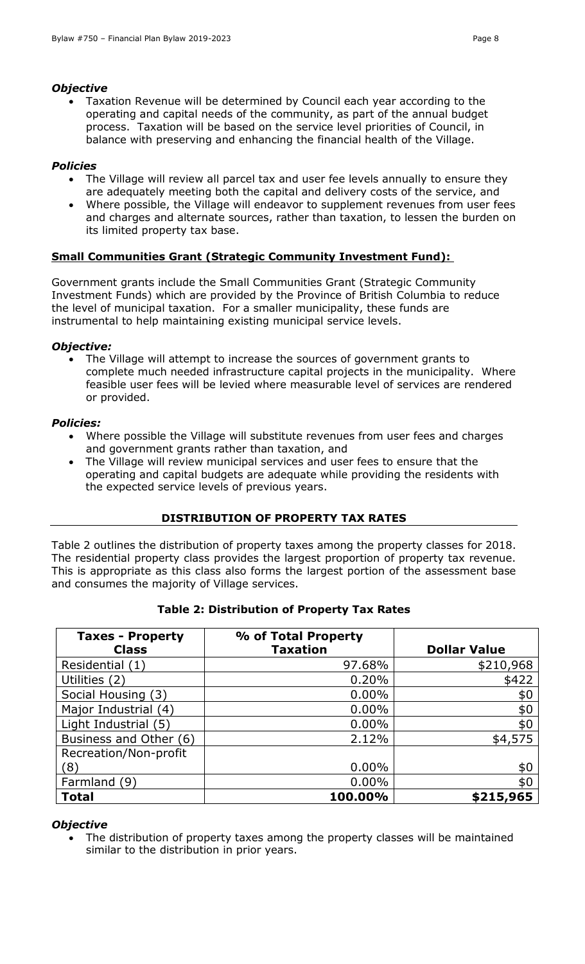#### *Objective*

• Taxation Revenue will be determined by Council each year according to the operating and capital needs of the community, as part of the annual budget process. Taxation will be based on the service level priorities of Council, in balance with preserving and enhancing the financial health of the Village.

### *Policies*

- The Village will review all parcel tax and user fee levels annually to ensure they are adequately meeting both the capital and delivery costs of the service, and
- Where possible, the Village will endeavor to supplement revenues from user fees and charges and alternate sources, rather than taxation, to lessen the burden on its limited property tax base.

### **Small Communities Grant (Strategic Community Investment Fund):**

Government grants include the Small Communities Grant (Strategic Community Investment Funds) which are provided by the Province of British Columbia to reduce the level of municipal taxation. For a smaller municipality, these funds are instrumental to help maintaining existing municipal service levels.

### *Objective:*

• The Village will attempt to increase the sources of government grants to complete much needed infrastructure capital projects in the municipality. Where feasible user fees will be levied where measurable level of services are rendered or provided.

#### *Policies:*

- Where possible the Village will substitute revenues from user fees and charges and government grants rather than taxation, and
- The Village will review municipal services and user fees to ensure that the operating and capital budgets are adequate while providing the residents with the expected service levels of previous years.

### **DISTRIBUTION OF PROPERTY TAX RATES**

Table 2 outlines the distribution of property taxes among the property classes for 2018. The residential property class provides the largest proportion of property tax revenue. This is appropriate as this class also forms the largest portion of the assessment base and consumes the majority of Village services.

| <b>Taxes - Property</b> | % of Total Property |                     |
|-------------------------|---------------------|---------------------|
| <b>Class</b>            | <b>Taxation</b>     | <b>Dollar Value</b> |
| Residential (1)         | 97.68%              | \$210,968           |
| Utilities (2)           | 0.20%               | \$422               |
| Social Housing (3)      | $0.00\%$            | \$0                 |
| Major Industrial (4)    | $0.00\%$            | \$0                 |
| Light Industrial (5)    | $0.00\%$            | \$0                 |
| Business and Other (6)  | 2.12%               | \$4,575             |
| Recreation/Non-profit   |                     |                     |
| (8)                     | $0.00\%$            | \$0                 |
| Farmland (9)            | $0.00\%$            | \$0                 |
| <b>Total</b>            | 100.00%             | \$215,965           |

### **Table 2: Distribution of Property Tax Rates**

#### *Objective*

• The distribution of property taxes among the property classes will be maintained similar to the distribution in prior years.